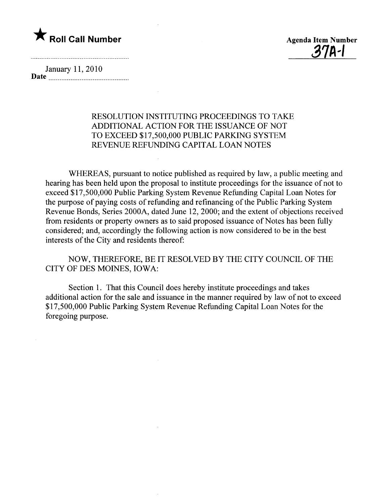



January 11,2010 Date

## RESOLUTION INSTITUTING PROCEEDINGS TO TAKE ADDITIONAL ACTION FOR THE ISSUANCE OF NOT TO EXCEED \$17,500,000 PUBLIC PARKING SYSTEM REVENUE REFUNDING CAPITAL LOAN NOTES

WHEREAS, pursuant to notice published as required by law, a public meeting and hearing has been held upon the proposal to institute proceedings for the issuance of not to exceed \$17,500,000 Public Parking System Revenue Refunding Capital Loan Notes for the purpose of paying costs of refunding and refinancing of the Public Parking System Revenue Bonds, Series 2000A, dated June 12,2000; and the extent of objections received from residents or property owners as to said proposed issuance of Notes has been fully considered; and, accordingly the following action is now considered to be in the best interests of the City and residents thereof:

NOW, THEREFORE, BE IT RESOLVED BY THE CITY COUNCIL OF THE CITY OF DES MOINES, IOWA:

Section 1. That this Council does hereby institute proceedings and takes additional action for the sale and issuance in the manner required by law of not to exceed \$17,500,000 Public Parking System Revenue Refunding Capital Loan Notes for the foregoing purpose.